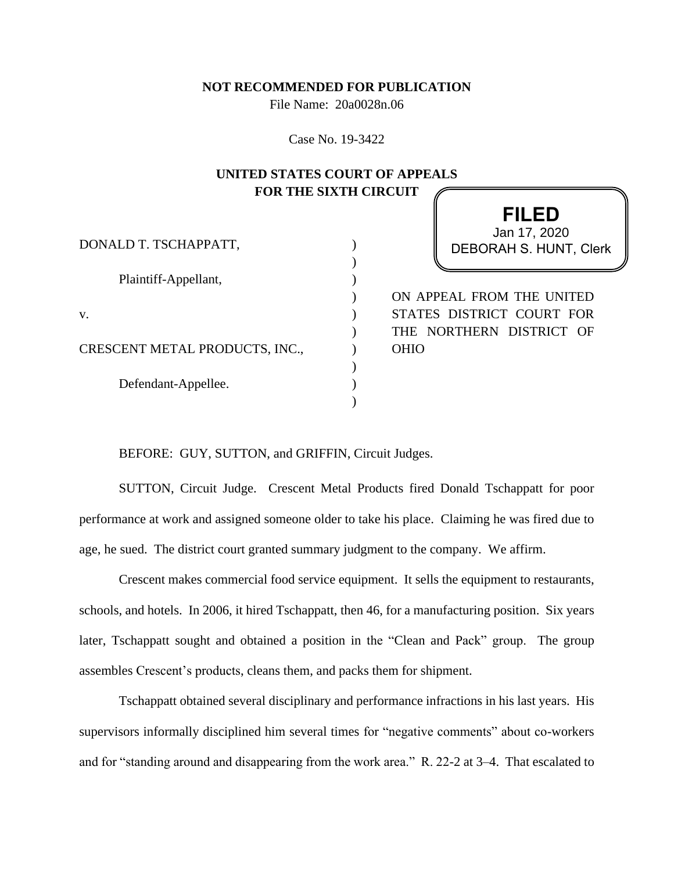## **NOT RECOMMENDED FOR PUBLICATION**

File Name: 20a0028n.06

Case No. 19-3422

## **UNITED STATES COURT OF APPEALS FOR THE SIXTH CIRCUIT**

) ) ) ) ) )  $\lambda$ ) )  $\lambda$ 

DONALD T. TSCHAPPATT,

Plaintiff-Appellant,

v.

CRESCENT METAL PRODUCTS, INC.,

Defendant-Appellee.

**FILED** DEBORAH S. HUNT, Clerk Jan 17, 2020

ON APPEAL FROM THE UNITED STATES DISTRICT COURT FOR THE NORTHERN DISTRICT OF OHIO

BEFORE: GUY, SUTTON, and GRIFFIN, Circuit Judges.

SUTTON, Circuit Judge. Crescent Metal Products fired Donald Tschappatt for poor performance at work and assigned someone older to take his place. Claiming he was fired due to age, he sued. The district court granted summary judgment to the company. We affirm.

Crescent makes commercial food service equipment. It sells the equipment to restaurants, schools, and hotels. In 2006, it hired Tschappatt, then 46, for a manufacturing position. Six years later, Tschappatt sought and obtained a position in the "Clean and Pack" group. The group assembles Crescent's products, cleans them, and packs them for shipment.

Tschappatt obtained several disciplinary and performance infractions in his last years. His supervisors informally disciplined him several times for "negative comments" about co-workers and for "standing around and disappearing from the work area." R. 22-2 at 3–4. That escalated to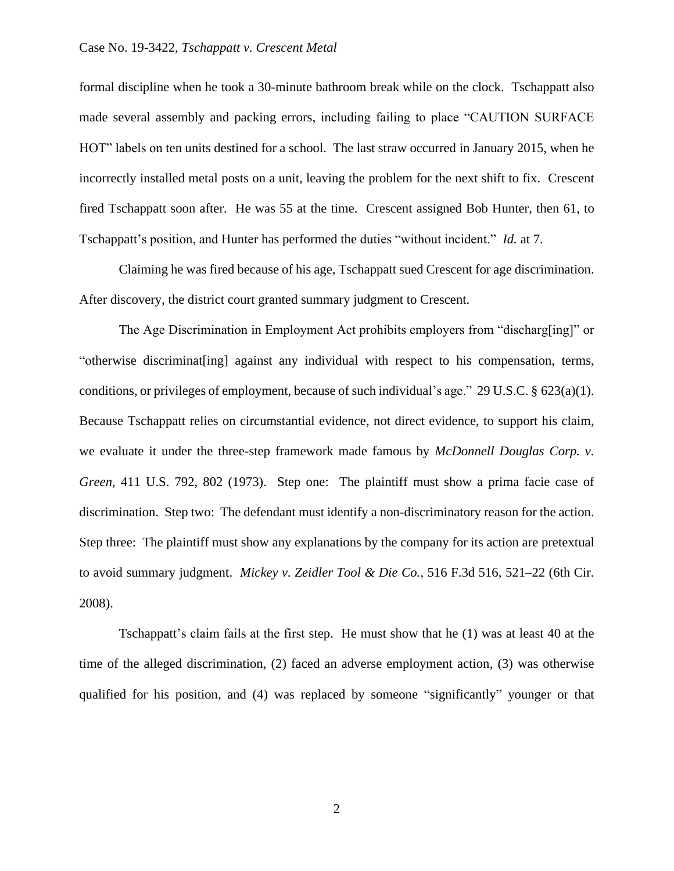## Case No. 19-3422, *Tschappatt v. Crescent Metal*

formal discipline when he took a 30-minute bathroom break while on the clock. Tschappatt also made several assembly and packing errors, including failing to place "CAUTION SURFACE HOT" labels on ten units destined for a school. The last straw occurred in January 2015, when he incorrectly installed metal posts on a unit, leaving the problem for the next shift to fix. Crescent fired Tschappatt soon after. He was 55 at the time. Crescent assigned Bob Hunter, then 61, to Tschappatt's position, and Hunter has performed the duties "without incident." *Id.* at 7.

Claiming he was fired because of his age, Tschappatt sued Crescent for age discrimination. After discovery, the district court granted summary judgment to Crescent.

The Age Discrimination in Employment Act prohibits employers from "discharg[ing]" or "otherwise discriminat[ing] against any individual with respect to his compensation, terms, conditions, or privileges of employment, because of such individual's age." 29 U.S.C.  $\S$  623(a)(1). Because Tschappatt relies on circumstantial evidence, not direct evidence, to support his claim, we evaluate it under the three-step framework made famous by *McDonnell Douglas Corp. v. Green*, 411 U.S. 792, 802 (1973). Step one: The plaintiff must show a prima facie case of discrimination. Step two: The defendant must identify a non-discriminatory reason for the action. Step three: The plaintiff must show any explanations by the company for its action are pretextual to avoid summary judgment. *Mickey v. Zeidler Tool & Die Co.*, 516 F.3d 516, 521–22 (6th Cir. 2008).

Tschappatt's claim fails at the first step. He must show that he (1) was at least 40 at the time of the alleged discrimination, (2) faced an adverse employment action, (3) was otherwise qualified for his position, and (4) was replaced by someone "significantly" younger or that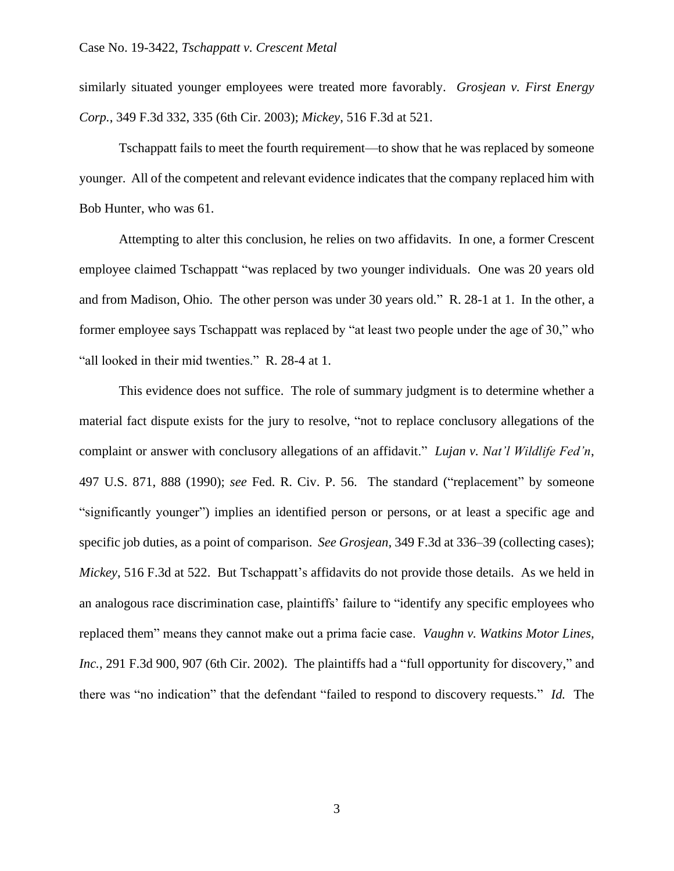similarly situated younger employees were treated more favorably. *Grosjean v. First Energy Corp.*, 349 F.3d 332, 335 (6th Cir. 2003); *Mickey*, 516 F.3d at 521.

Tschappatt fails to meet the fourth requirement—to show that he was replaced by someone younger. All of the competent and relevant evidence indicates that the company replaced him with Bob Hunter, who was 61.

Attempting to alter this conclusion, he relies on two affidavits. In one, a former Crescent employee claimed Tschappatt "was replaced by two younger individuals. One was 20 years old and from Madison, Ohio. The other person was under 30 years old." R. 28-1 at 1. In the other, a former employee says Tschappatt was replaced by "at least two people under the age of 30," who "all looked in their mid twenties." R. 28-4 at 1.

This evidence does not suffice. The role of summary judgment is to determine whether a material fact dispute exists for the jury to resolve, "not to replace conclusory allegations of the complaint or answer with conclusory allegations of an affidavit." *Lujan v. Nat'l Wildlife Fed'n*, 497 U.S. 871, 888 (1990); *see* Fed. R. Civ. P. 56. The standard ("replacement" by someone "significantly younger") implies an identified person or persons, or at least a specific age and specific job duties, as a point of comparison. *See Grosjean*, 349 F.3d at 336–39 (collecting cases); *Mickey*, 516 F.3d at 522. But Tschappatt's affidavits do not provide those details. As we held in an analogous race discrimination case, plaintiffs' failure to "identify any specific employees who replaced them" means they cannot make out a prima facie case. *Vaughn v. Watkins Motor Lines, Inc.*, 291 F.3d 900, 907 (6th Cir. 2002). The plaintiffs had a "full opportunity for discovery," and there was "no indication" that the defendant "failed to respond to discovery requests." *Id.* The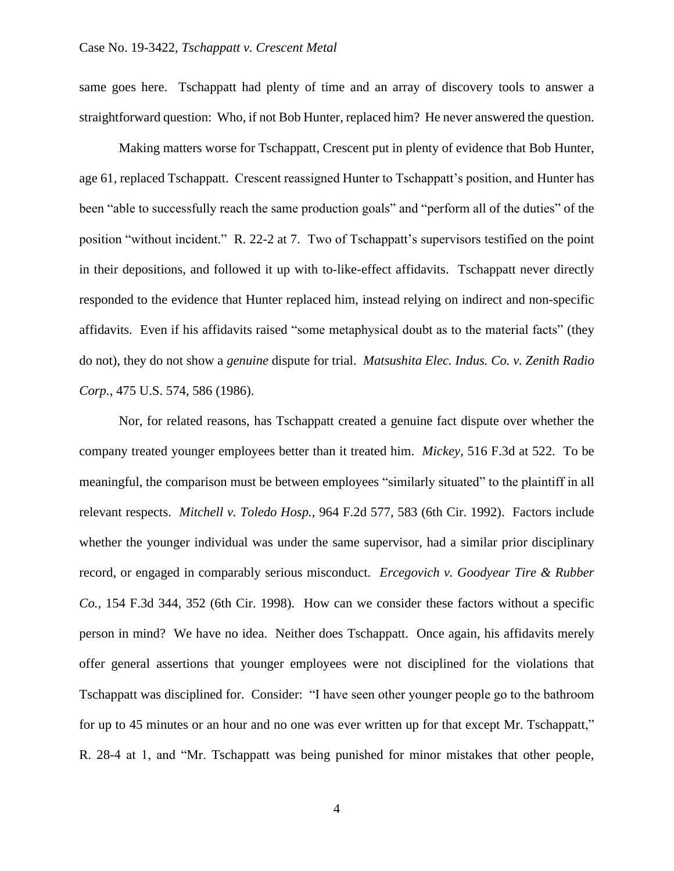same goes here. Tschappatt had plenty of time and an array of discovery tools to answer a straightforward question: Who, if not Bob Hunter, replaced him? He never answered the question.

Making matters worse for Tschappatt, Crescent put in plenty of evidence that Bob Hunter, age 61, replaced Tschappatt. Crescent reassigned Hunter to Tschappatt's position, and Hunter has been "able to successfully reach the same production goals" and "perform all of the duties" of the position "without incident." R. 22-2 at 7. Two of Tschappatt's supervisors testified on the point in their depositions, and followed it up with to-like-effect affidavits. Tschappatt never directly responded to the evidence that Hunter replaced him, instead relying on indirect and non-specific affidavits. Even if his affidavits raised "some metaphysical doubt as to the material facts" (they do not), they do not show a *genuine* dispute for trial. *Matsushita Elec. Indus. Co. v. Zenith Radio Corp.*, 475 U.S. 574, 586 (1986).

Nor, for related reasons, has Tschappatt created a genuine fact dispute over whether the company treated younger employees better than it treated him. *Mickey*, 516 F.3d at 522. To be meaningful, the comparison must be between employees "similarly situated" to the plaintiff in all relevant respects. *Mitchell v. Toledo Hosp.*, 964 F.2d 577, 583 (6th Cir. 1992). Factors include whether the younger individual was under the same supervisor, had a similar prior disciplinary record, or engaged in comparably serious misconduct. *Ercegovich v. Goodyear Tire & Rubber Co.*, 154 F.3d 344, 352 (6th Cir. 1998). How can we consider these factors without a specific person in mind? We have no idea. Neither does Tschappatt. Once again, his affidavits merely offer general assertions that younger employees were not disciplined for the violations that Tschappatt was disciplined for. Consider: "I have seen other younger people go to the bathroom for up to 45 minutes or an hour and no one was ever written up for that except Mr. Tschappatt," R. 28-4 at 1, and "Mr. Tschappatt was being punished for minor mistakes that other people,